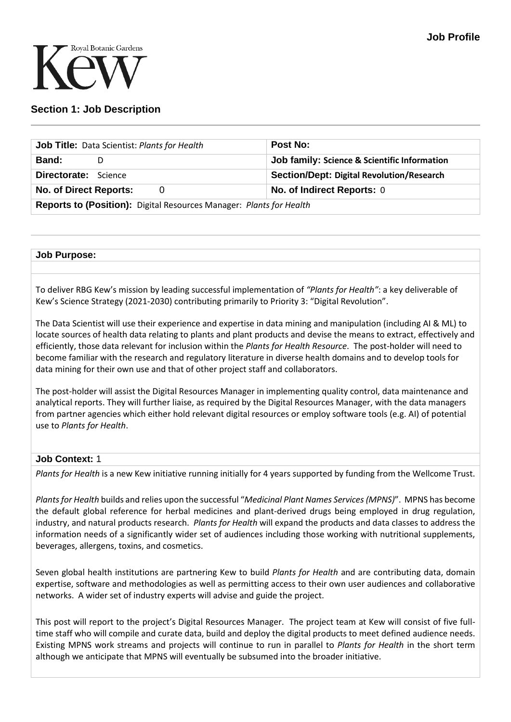

# **Section 1: Job Description**

| Job Title: Data Scientist: Plants for Health                               |  | <b>Post No:</b>                                  |  |  |
|----------------------------------------------------------------------------|--|--------------------------------------------------|--|--|
| <b>Band:</b>                                                               |  | Job family: Science & Scientific Information     |  |  |
| <b>Directorate:</b> Science                                                |  | <b>Section/Dept: Digital Revolution/Research</b> |  |  |
| No. of Direct Reports:<br>0                                                |  | No. of Indirect Reports: 0                       |  |  |
| <b>Reports to (Position):</b> Digital Resources Manager: Plants for Health |  |                                                  |  |  |

### **Job Purpose:**

To deliver RBG Kew's mission by leading successful implementation of *"Plants for Health"*: a key deliverable of Kew's Science Strategy (2021-2030) contributing primarily to Priority 3: "Digital Revolution".

The Data Scientist will use their experience and expertise in data mining and manipulation (including AI & ML) to locate sources of health data relating to plants and plant products and devise the means to extract, effectively and efficiently, those data relevant for inclusion within the *Plants for Health Resource*. The post-holder will need to become familiar with the research and regulatory literature in diverse health domains and to develop tools for data mining for their own use and that of other project staff and collaborators.

The post-holder will assist the Digital Resources Manager in implementing quality control, data maintenance and analytical reports. They will further liaise, as required by the Digital Resources Manager, with the data managers from partner agencies which either hold relevant digital resources or employ software tools (e.g. AI) of potential use to *Plants for Health*.

## **Job Context:** 1

*Plants for Health* is a new Kew initiative running initially for 4 years supported by funding from the Wellcome Trust.

*Plants for Health* builds and relies upon the successful "*Medicinal Plant Names Services(MPNS)*". MPNS has become the default global reference for herbal medicines and plant-derived drugs being employed in drug regulation, industry, and natural products research. *Plants for Health* will expand the products and data classes to address the information needs of a significantly wider set of audiences including those working with nutritional supplements, beverages, allergens, toxins, and cosmetics.

Seven global health institutions are partnering Kew to build *Plants for Health* and are contributing data, domain expertise, software and methodologies as well as permitting access to their own user audiences and collaborative networks. A wider set of industry experts will advise and guide the project.

This post will report to the project's Digital Resources Manager. The project team at Kew will consist of five fulltime staff who will compile and curate data, build and deploy the digital products to meet defined audience needs. Existing MPNS work streams and projects will continue to run in parallel to *Plants for Health* in the short term although we anticipate that MPNS will eventually be subsumed into the broader initiative.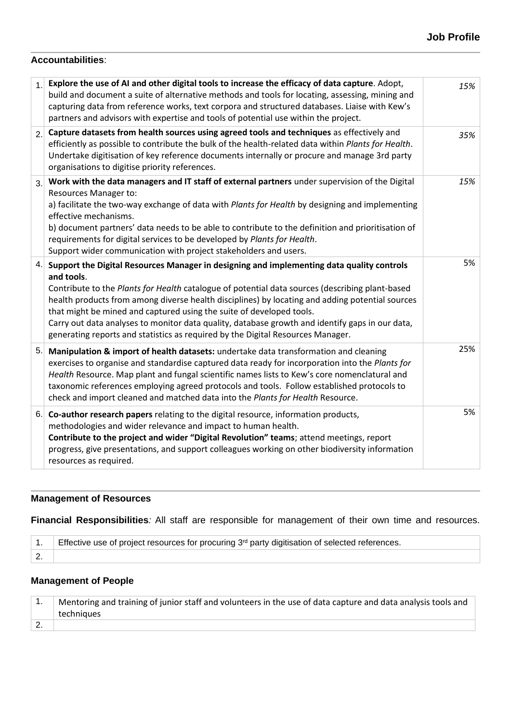## **Accountabilities**:

| $\overline{1}$ . | Explore the use of AI and other digital tools to increase the efficacy of data capture. Adopt,<br>build and document a suite of alternative methods and tools for locating, assessing, mining and<br>capturing data from reference works, text corpora and structured databases. Liaise with Kew's<br>partners and advisors with expertise and tools of potential use within the project.                                                                                                                                                                                      | 15% |
|------------------|--------------------------------------------------------------------------------------------------------------------------------------------------------------------------------------------------------------------------------------------------------------------------------------------------------------------------------------------------------------------------------------------------------------------------------------------------------------------------------------------------------------------------------------------------------------------------------|-----|
| 2.               | Capture datasets from health sources using agreed tools and techniques as effectively and<br>efficiently as possible to contribute the bulk of the health-related data within Plants for Health.<br>Undertake digitisation of key reference documents internally or procure and manage 3rd party<br>organisations to digitise priority references.                                                                                                                                                                                                                             | 35% |
| 3.               | Work with the data managers and IT staff of external partners under supervision of the Digital<br>Resources Manager to:<br>a) facilitate the two-way exchange of data with Plants for Health by designing and implementing<br>effective mechanisms.<br>b) document partners' data needs to be able to contribute to the definition and prioritisation of<br>requirements for digital services to be developed by Plants for Health.<br>Support wider communication with project stakeholders and users.                                                                        | 15% |
|                  | 4. Support the Digital Resources Manager in designing and implementing data quality controls<br>and tools.<br>Contribute to the Plants for Health catalogue of potential data sources (describing plant-based<br>health products from among diverse health disciplines) by locating and adding potential sources<br>that might be mined and captured using the suite of developed tools.<br>Carry out data analyses to monitor data quality, database growth and identify gaps in our data,<br>generating reports and statistics as required by the Digital Resources Manager. | 5%  |
| 5.               | Manipulation & import of health datasets: undertake data transformation and cleaning<br>exercises to organise and standardise captured data ready for incorporation into the Plants for<br>Health Resource. Map plant and fungal scientific names lists to Kew's core nomenclatural and<br>taxonomic references employing agreed protocols and tools. Follow established protocols to<br>check and import cleaned and matched data into the Plants for Health Resource.                                                                                                        | 25% |
| 6.               | Co-author research papers relating to the digital resource, information products,<br>methodologies and wider relevance and impact to human health.<br>Contribute to the project and wider "Digital Revolution" teams; attend meetings, report<br>progress, give presentations, and support colleagues working on other biodiversity information<br>resources as required.                                                                                                                                                                                                      | 5%  |

# **Management of Resources**

**Financial Responsibilities***:* All staff are responsible for management of their own time and resources.

|           | 1. Effective use of project resources for procuring $3rd$ party digitisation of selected references. |  |
|-----------|------------------------------------------------------------------------------------------------------|--|
| <u>z.</u> |                                                                                                      |  |

# **Management of People**

| Mentoring and training of junior staff and volunteers in the use of data capture and data analysis tools and |  |  |
|--------------------------------------------------------------------------------------------------------------|--|--|
| techniques                                                                                                   |  |  |
|                                                                                                              |  |  |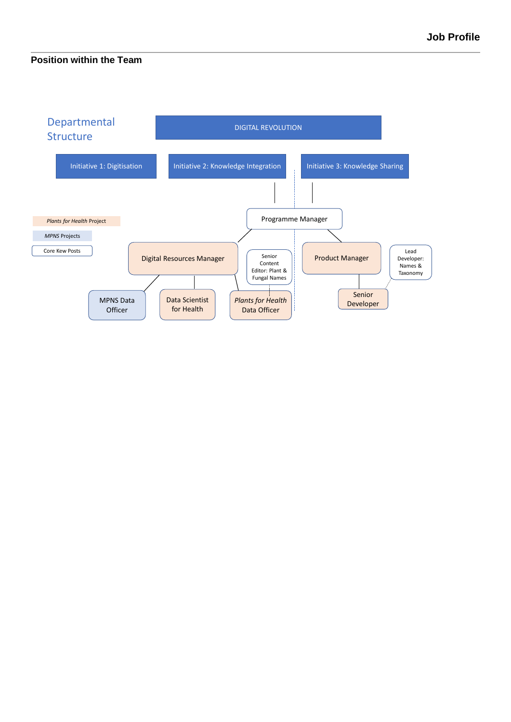## **Position within the Team**

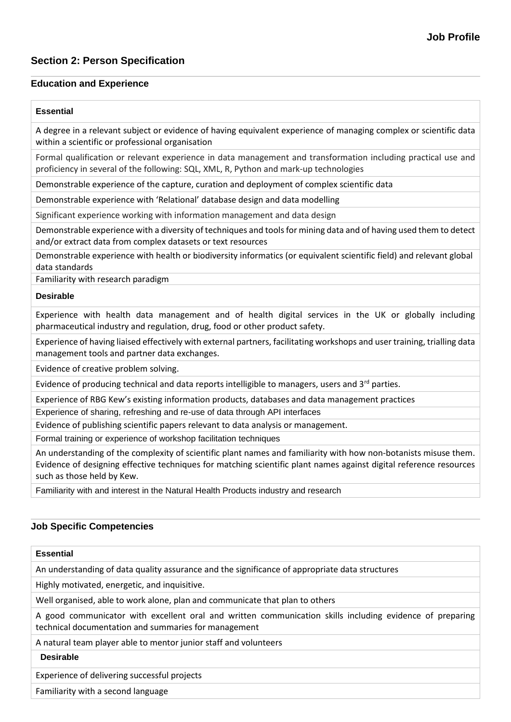# **Section 2: Person Specification**

### **Education and Experience**

#### **Essential**

A degree in a relevant subject or evidence of having equivalent experience of managing complex or scientific data within a scientific or professional organisation

Formal qualification or relevant experience in data management and transformation including practical use and proficiency in several of the following: SQL, XML, R, Python and mark-up technologies

Demonstrable experience of the capture, curation and deployment of complex scientific data

Demonstrable experience with 'Relational' database design and data modelling

Significant experience working with information management and data design

Demonstrable experience with a diversity of techniques and tools for mining data and of having used them to detect and/or extract data from complex datasets or text resources

Demonstrable experience with health or biodiversity informatics (or equivalent scientific field) and relevant global data standards

Familiarity with research paradigm

#### **Desirable**

Experience with health data management and of health digital services in the UK or globally including pharmaceutical industry and regulation, drug, food or other product safety.

Experience of having liaised effectively with external partners, facilitating workshops and user training, trialling data management tools and partner data exchanges.

Evidence of creative problem solving.

Evidence of producing technical and data reports intelligible to managers, users and 3<sup>rd</sup> parties.

Experience of RBG Kew's existing information products, databases and data management practices

Experience of sharing, refreshing and re-use of data through API interfaces

Evidence of publishing scientific papers relevant to data analysis or management.

Formal training or experience of workshop facilitation techniques

An understanding of the complexity of scientific plant names and familiarity with how non-botanists misuse them. Evidence of designing effective techniques for matching scientific plant names against digital reference resources such as those held by Kew.

Familiarity with and interest in the Natural Health Products industry and research

## **Job Specific Competencies**

#### **Essential**

An understanding of data quality assurance and the significance of appropriate data structures

Highly motivated, energetic, and inquisitive.

Well organised, able to work alone, plan and communicate that plan to others

A good communicator with excellent oral and written communication skills including evidence of preparing technical documentation and summaries for management

A natural team player able to mentor junior staff and volunteers

#### **Desirable**

Experience of delivering successful projects

Familiarity with a second language